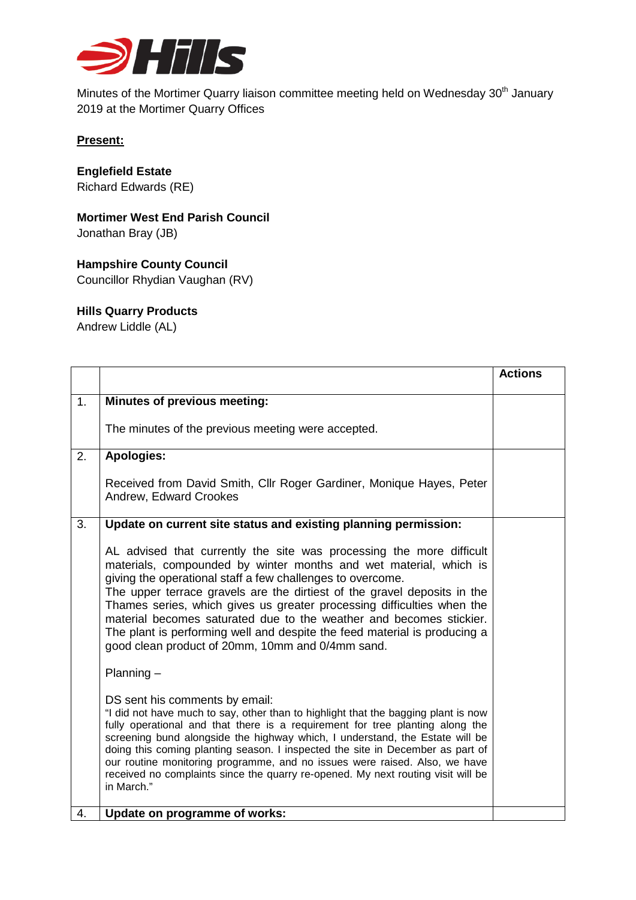

Minutes of the Mortimer Quarry liaison committee meeting held on Wednesday 30<sup>th</sup> January 2019 at the Mortimer Quarry Offices

### **Present:**

## **Englefield Estate**

Richard Edwards (RE)

# **Mortimer West End Parish Council**

Jonathan Bray (JB)

## **Hampshire County Council**

Councillor Rhydian Vaughan (RV)

### **Hills Quarry Products**

Andrew Liddle (AL)

|                |                                                                                                                                                                                                                                                                                                                                                                                                                                                                                                                                                                       | <b>Actions</b> |
|----------------|-----------------------------------------------------------------------------------------------------------------------------------------------------------------------------------------------------------------------------------------------------------------------------------------------------------------------------------------------------------------------------------------------------------------------------------------------------------------------------------------------------------------------------------------------------------------------|----------------|
| 1 <sub>1</sub> | Minutes of previous meeting:                                                                                                                                                                                                                                                                                                                                                                                                                                                                                                                                          |                |
|                | The minutes of the previous meeting were accepted.                                                                                                                                                                                                                                                                                                                                                                                                                                                                                                                    |                |
| 2.             | Apologies:                                                                                                                                                                                                                                                                                                                                                                                                                                                                                                                                                            |                |
|                | Received from David Smith, Cllr Roger Gardiner, Monique Hayes, Peter<br>Andrew, Edward Crookes                                                                                                                                                                                                                                                                                                                                                                                                                                                                        |                |
| 3.             | Update on current site status and existing planning permission:                                                                                                                                                                                                                                                                                                                                                                                                                                                                                                       |                |
|                | AL advised that currently the site was processing the more difficult<br>materials, compounded by winter months and wet material, which is<br>giving the operational staff a few challenges to overcome.<br>The upper terrace gravels are the dirtiest of the gravel deposits in the<br>Thames series, which gives us greater processing difficulties when the<br>material becomes saturated due to the weather and becomes stickier.<br>The plant is performing well and despite the feed material is producing a<br>good clean product of 20mm, 10mm and 0/4mm sand. |                |
|                | $Planning -$                                                                                                                                                                                                                                                                                                                                                                                                                                                                                                                                                          |                |
|                | DS sent his comments by email:<br>"I did not have much to say, other than to highlight that the bagging plant is now<br>fully operational and that there is a requirement for tree planting along the<br>screening bund alongside the highway which, I understand, the Estate will be<br>doing this coming planting season. I inspected the site in December as part of<br>our routine monitoring programme, and no issues were raised. Also, we have<br>received no complaints since the quarry re-opened. My next routing visit will be<br>in March."               |                |
| 4.             | Update on programme of works:                                                                                                                                                                                                                                                                                                                                                                                                                                                                                                                                         |                |